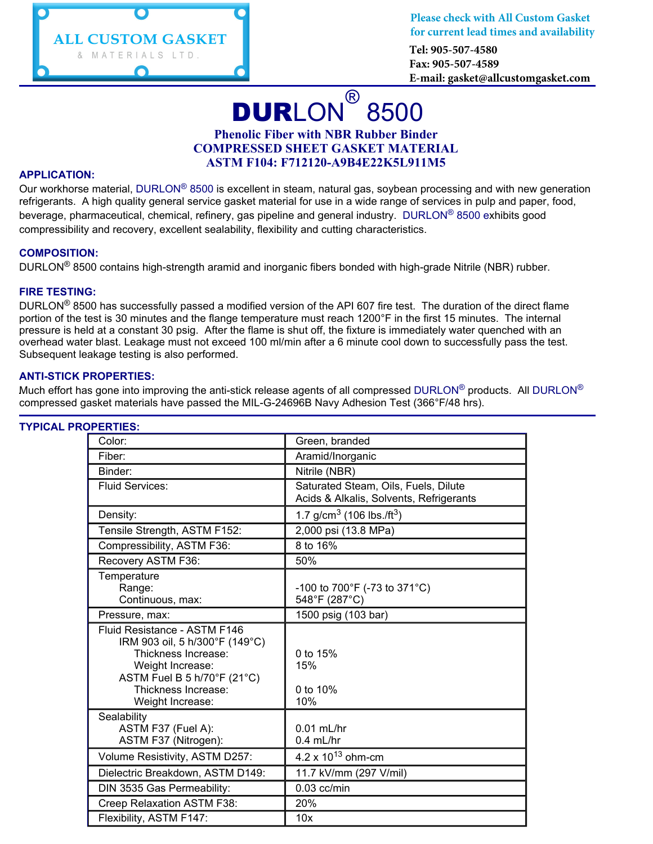

**Please check with All Custom Gasket for current lead times and availability**

**Tel: 905-507-4580 Fax: 905-507-4589 E-mail: gasket@allcustomgasket.com**

# DURLON® 8500 **Phenolic Fiber with NBR Rubber Binder COMPRESSED SHEET GASKET MATERIAL ASTM F104: F712120-A9B4E22K5L911M5**

#### **APPLICATION:**

Our workhorse material, DURLON<sup>®</sup> 8500 is excellent in steam, natural gas, soybean processing and with new generation refrigerants. A high quality general service gasket material for use in a wide range of services in pulp and paper, food, beverage, pharmaceutical, chemical, refinery, gas pipeline and general industry. DURLON® 8500 exhibits good compressibility and recovery, excellent sealability, flexibility and cutting characteristics.

#### **COMPOSITION:**

DURLON® 8500 contains high-strength aramid and inorganic fibers bonded with high-grade Nitrile (NBR) rubber.

#### **FIRE TESTING:**

DURLON® 8500 has successfully passed a modified version of the API 607 fire test. The duration of the direct flame portion of the test is 30 minutes and the flange temperature must reach 1200°F in the first 15 minutes. The internal pressure is held at a constant 30 psig. After the flame is shut off, the fixture is immediately water quenched with an overhead water blast. Leakage must not exceed 100 ml/min after a 6 minute cool down to successfully pass the test. Subsequent leakage testing is also performed.

#### **ANTI-STICK PROPERTIES:**

Much effort has gone into improving the anti-stick release agents of all compressed DURLON<sup>®</sup> products. All DURLON<sup>®</sup> compressed gasket materials have passed the MIL-G-24696B Navy Adhesion Test (366°F/48 hrs).

| Color:                                                                                                                                                                              | Green, branded                                                                  |  |  |  |
|-------------------------------------------------------------------------------------------------------------------------------------------------------------------------------------|---------------------------------------------------------------------------------|--|--|--|
| Fiber:                                                                                                                                                                              | Aramid/Inorganic                                                                |  |  |  |
| Binder:                                                                                                                                                                             | Nitrile (NBR)                                                                   |  |  |  |
| Fluid Services:                                                                                                                                                                     | Saturated Steam, Oils, Fuels, Dilute<br>Acids & Alkalis, Solvents, Refrigerants |  |  |  |
| Density:                                                                                                                                                                            | 1.7 g/cm <sup>3</sup> (106 lbs./ft <sup>3</sup> )                               |  |  |  |
| Tensile Strength, ASTM F152:                                                                                                                                                        | 2,000 psi (13.8 MPa)                                                            |  |  |  |
| Compressibility, ASTM F36:                                                                                                                                                          | 8 to 16%                                                                        |  |  |  |
| Recovery ASTM F36:                                                                                                                                                                  | 50%                                                                             |  |  |  |
| Temperature<br>Range:<br>Continuous, max:                                                                                                                                           | -100 to 700°F (-73 to 371°C)<br>548°F (287°C)                                   |  |  |  |
| Pressure, max:                                                                                                                                                                      | 1500 psig (103 bar)                                                             |  |  |  |
| Fluid Resistance - ASTM F146<br>IRM 903 oil, 5 h/300°F (149°C)<br>Thickness Increase:<br>Weight Increase:<br>ASTM Fuel B 5 h/70°F (21°C)<br>Thickness Increase:<br>Weight Increase: | 0 to 15%<br>15%<br>0 to 10%<br>10%                                              |  |  |  |
| Sealability<br>ASTM F37 (Fuel A):<br>ASTM F37 (Nitrogen):                                                                                                                           | $0.01$ mL/hr<br>$0.4$ mL/hr                                                     |  |  |  |
| Volume Resistivity, ASTM D257:                                                                                                                                                      | 4.2 x $10^{13}$ ohm-cm                                                          |  |  |  |
| Dielectric Breakdown, ASTM D149:                                                                                                                                                    | 11.7 kV/mm (297 V/mil)                                                          |  |  |  |
| DIN 3535 Gas Permeability:                                                                                                                                                          | $0.03$ cc/min                                                                   |  |  |  |
| Creep Relaxation ASTM F38:                                                                                                                                                          | 20%                                                                             |  |  |  |
| Flexibility, ASTM F147:                                                                                                                                                             | 10x                                                                             |  |  |  |

## **TYPICAL PROPERTIES:**